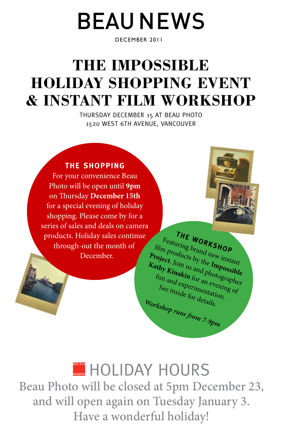# BEAU NEWS

DECEMBER 2011

## **THE IMPOSSIBLE HOLIDAY SHOPPING event & instant film WORKSHOP**

thursday december 15 at beau photo 1520 west 6th avenue, vancouver



For your convenience Beau Photo will be open until **9pm** on Thursday **December 15th**  for a special evening of holiday shopping. Please come by for a series of sales and deals on camera products. Holiday sales continue through-out the month of December.



**the WORKSHOP** Featuring brand new instant film products by the **Impossible Project**. Join us and photographer **Kathy Kinakin** for an evening of fun and experimentation. See inside for details. *Workshop runs from 7-9pm*

## **HOLIDAY HOURS**

Beau Photo will be closed at 5pm December 23, and will open again on Tuesday January 3. Have a wonderful holiday!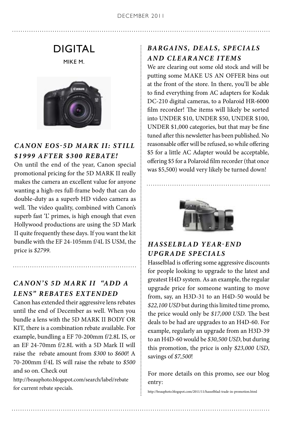### DIGITAL

MIKE M.



#### *Canon EOS-5D Mark II: Still \$1999 after \$300 rebate!*

On until the end of the year, Canon special promotional pricing for the 5D MARK II really makes the camera an excellent value for anyone wanting a high-res full-frame body that can do double-duty as a superb HD video camera as well. The video quality, combined with Canon's superb fast 'L' primes, is high enough that even Hollywood productions are using the 5D Mark II quite frequently these days. If you want the kit bundle with the EF 24-105mm f/4L IS USM, the price is *\$2799*.

#### *Canon' s 5D Mark II "Add a Lens" rebates extended*

Canon has extended their aggressive lens rebates until the end of December as well. When you bundle a lens with the 5D MARK II BODY OR KIT, there is a combination rebate available. For example, bundling a EF 70-200mm f/2.8L IS, or an EF 24-70mm f/2.8L with a 5D Mark II will raise the rebate amount from *\$300* to *\$600*! A 70-200mm f/4L IS will raise the rebate to *\$500* and so on. Check out

http://beauphoto.blogspot.com/search/label/rebate for current rebate specials.

#### *Bargains, Dea ls, Specia ls a nd Clearance Items*

We are clearing out some old stock and will be putting some MAKE US AN OFFER bins out at the front of the store. In there, you'll be able to find everything from AC adapters for Kodak DC-210 digital cameras, to a Polaroid HR-6000 film recorder! The items will likely be sorted into UNDER \$10, UNDER \$50, UNDER \$100, UNDER \$1,000 categories, but that may be fine tuned after this newsletter has been published. No reasonsable offer will be refused, so while offering \$5 for a little AC Adapter would be acceptable, offering \$5 for a Polaroid film recorder (that once was \$5,500) would very likely be turned down!



#### *Hasselblad Year-End Upgrade Specia ls*

Hasselblad is offering some aggressive discounts for people looking to upgrade to the latest and greatest H4D system. As an example, the regular upgrade price for someone wanting to move from, say, an H3D-31 to an H4D-50 would be *\$22,100 USD* but during this limited time promo, the price would only be *\$17,000 USD*. The best deals to be had are upgrades to an H4D-60. For example, regularly an upgrade from an H3D-39 to an H4D-60 would be *\$30,500 USD*, but during this promotion, the price is only *\$23,000 USD*, savings of *\$7,500*!

For more details on this promo, see our blog entry:

http://beauphoto.blogspot.com/2011/11/hasselblad-trade-in-promotion.html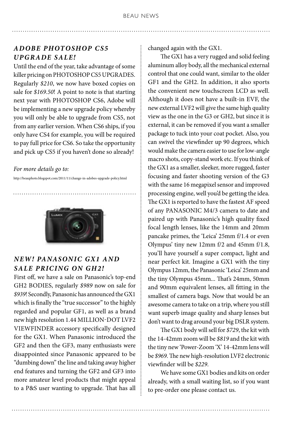#### *Adobe Photoshop CS5 Upgrade Sale!*

Until the end of the year, take advantage of some killer pricing on PHOTOSHOP CS5 UPGRADES. Regularly *\$210*, we now have boxed copies on sale for *\$169.50*! A point to note is that starting next year with PHOTOSHOP CS6, Adobe will be implementing a new upgrade policy whereby you will only be able to upgrade from CS5, not from any earlier version. When CS6 ships, if you only have CS4 for example, you will be required to pay full price for CS6. So take the opportunity and pick up CS5 if you haven't done so already!

#### *For more details go to:*

http://beauphoto.blogspot.com/2011/11/change-in-adobes-upgrade-policy.html



#### *NEW! Panasonic GX1 and sa le pricing on GH2!*

First off, we have a sale on Panasonic's top-end GH2 bodies, regularly *\$989* now on sale for *\$939*! Secondly, Panasonic has announced the GX1 which is finally the "true successor" to the highly regarded and popular GF1, as well as a brand new high resolution 1.44 MILLION-DOT LVF2 VIEWFINDER accessory specifically designed for the GX1. When Panasonic introduced the GF2 and then the GF3, many enthusiasts were disappointed since Panasonic appeared to be "dumbing down" the line and taking away higher end features and turning the GF2 and GF3 into more amateur level products that might appeal to a P&S user wanting to upgrade. That has all

changed again with the GX1.

 The GX1 has a very rugged and solid feeling aluminum alloy body, all the mechanical external control that one could want, similar to the older GF1 and the GH2. In addition, it also sports the convenient new touchscreen LCD as well. Although it does not have a built-in EVF, the new external LVF2 will give the same high quality view as the one in the G3 or GH2, but since it is external, it can be removed if you want a smaller package to tuck into your coat pocket. Also, you can swivel the viewfinder up 90 degrees, which would make the camera easier to use for low-angle macro shots, copy-stand work etc. If you think of the GX1 as a smaller, sleeker, more rugged, faster focusing and faster shooting version of the G3 with the same 16 megapixel sensor and improved processing engine, well you'd be getting the idea. The GX1 is reported to have the fastest AF speed of any PANASONIC M4/3 camera to date and paired up with Panasonic's high quality fixed focal length lenses, like the 14mm and 20mm pancake primes, the 'Leica' 25mm f/1.4 or even Olympus' tiny new 12mm f/2 and 45mm f/1.8, you'll have yourself a super compact, light and near perfect kit. Imagine a GX1 with the tiny Olympus 12mm, the Panasonic 'Leica' 25mm and the tiny Olympus 45mm... That's 24mm, 50mm and 90mm equivalent lenses, all fitting in the smallest of camera bags. Now that would be an awesome camera to take on a trip, where you still want superb image quality and sharp lenses but don't want to drag around your big DSLR system.

 The GX1 body will sell for *\$729*, the kit with the 14-42mm zoom will be *\$819* and the kit with the tiny new 'Power-Zoom 'X' 14-42mm lens will be *\$969*. The new high-resolution LVF2 electronic viewfinder will be *\$229*.

 We have some GX1 bodies and kits on order already, with a small waiting list, so if you want to pre-order one please contact us.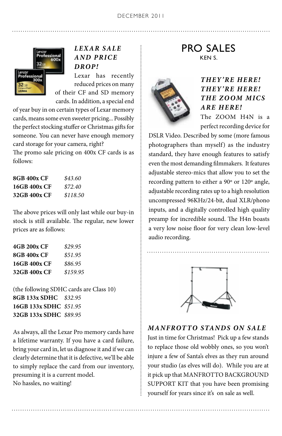

#### *Lexar SALE a nd price drop!*

Lexar has recently reduced prices on many of their CF and SD memory cards. In addition, a special end

of year buy in on certain types of Lexar memory cards, means some even sweeter pricing... Possibly the perfect stocking stuffer or Christmas gifts for someone. You can never have enough memory card storage for your camera, right?

The promo sale pricing on 400x CF cards is as follows:

| 8GB 400x CF  | \$43.60  |
|--------------|----------|
| 16GB 400x CF | \$72.40  |
| 32GB 400x CF | \$118.50 |

The above prices will only last while our buy-in stock is still available. The regular, new lower prices are as follows:

| 4GB 200x CF  | \$29.95  |
|--------------|----------|
| 8GB 400x CF  | \$51.95  |
| 16GB 400x CF | \$86.95  |
| 32GB 400x CF | \$159.95 |

(the following SDHC cards are Class 10) **8GB 133x SDHC** *\$32.95* **16GB 133x SDHC** *\$51.95* **32GB 133x SDHC** *\$89.95*

As always, all the Lexar Pro memory cards have a lifetime warranty. If you have a card failure, bring your card in, let us diagnose it and if we can clearly determine that it is defective, we'll be able to simply replace the card from our inventory, presuming it is a current model. No hassles, no waiting!

PRO SALES KEN S.



#### *They' re here! They' re here! The Zoom Mics a re here!* The ZOOM H4n is a

perfect recording device for

DSLR Video. Described by some (more famous photographers than myself) as the industry standard, they have enough features to satisfy even the most demanding filmmakers. It features adjustable stereo-mics that allow you to set the recording pattern to either a 90º or 120º angle, adjustable recording rates up to a high resolution uncompressed 96KHz/24-bit, dual XLR/phono inputs, and a digitally controlled high quality preamp for incredible sound. The H4n boasts a very low noise floor for very clean low-level audio recording.



. . . . . . . . . . . . . . . .

#### *Manfrotto Stands on Sale*

Just in time for Christmas! Pick up a few stands to replace those old wobbly ones, so you won't injure a few of Santa's elves as they run around your studio (as elves will do). While you are at it pick up that MANFROTTO BACKGROUND SUPPORT KIT that you have been promising yourself for years since it's on sale as well.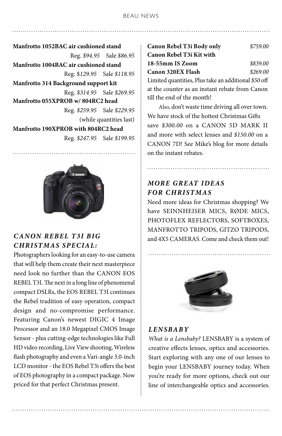**Manfrotto 1052BAC air cushioned stand** Reg. *\$94.95* Sale *\$86.95* **Manfrotto 1004BAC air cushioned stand** Reg. \$*129.95* Sale *\$118.95* **Manfrotto 314 Background support kit**  Reg. *\$314.95* Sale *\$269.95* **Manfrotto 055XPROB w/ 804RC2 head** Reg. *\$259.95* Sale *\$229.95* (while quantities last) **Manfrotto 190XPROB with 804RC2 head**  Reg. *\$247.95* Sale *\$199.95*



#### *Canon Rebel T3i big Christmas Special:*

Photographers looking for an easy-to-use camera that will help them create their next masterpiece need look no further than the CANON EOS REBEL T3I. The next in a long line of phenomenal compact DSLRs, the EOS REBEL T3I continues the Rebel tradition of easy operation, compact design and no-compromise performance. Featuring Canon's newest DIGIC 4 Image Processor and an 18.0 Megapixel CMOS Image Sensor - plus cutting-edge technologies like Full HD video recording, Live View shooting, Wireless flash photography and even a Vari-angle 3.0-inch LCD monitor - the EOS Rebel T3i offers the best of EOS photography in a compact package. Now priced for that perfect Christmas present.

**Canon Rebel T3i Body only** *\$759.00* **Canon Rebel T3i Kit with 18-55mm IS Zoom** *\$839.00* **Canon 320EX Flash** *\$269.00*  Limited quantities, Plus take an additional *\$50* off at the counter as an instant rebate from Canon till the end of the month!

 Also, don't waste time driving all over town. We have stock of the hottest Christmas Gifts save *\$300.00* on a Canon 5D Mark II and more with select lenses and *\$150.00* on a Canon 7D! See Mike's blog for more details on the instant rebates.

#### *More Great ideas For Christmas*

Need more ideas for Christmas shopping? We have SEINNHEISER MICS, RØDE MICS, PHOTOFLEX REFLECTORS, SOFTBOXES, Manfrotto tripods, Gitzo tripods, and 4X5 CAMERAS. Come and check them out!



#### *Lensbaby*

*What is a Lensbaby?* LENSBABY is a system of creative effects lenses, optics and accessories. Start exploring with any one of our lenses to begin your LENSBABY journey today. When you're ready for more options, check out our line of interchangeable optics and accessories.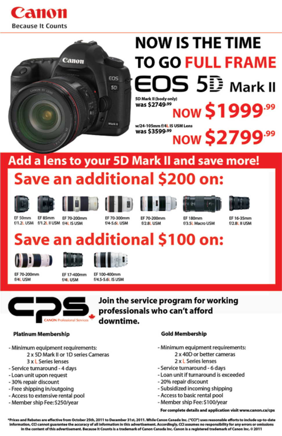



## Add a lens to your 5D Mark II and save more! Save an additional \$200 on:













EF 50mm

EF 85mm EF 70-200mm f/1.2L USM f/1.2L II USM f/4L IS USM

EF 70-300mm **F/A-S &L LISM** 

EF 70-200mm **6/2 81 TISM** 

EF 180mm f/3.5L Macro USM

EF 16-35mm f/2.8L II USM

## Save an additional \$100 on:







EF 70-200mm f/4L USM

EF 17-400mm **CALLUSM** 

FF 100-400mm f/4.5-5.6L IS USM



### Join the service program for working professionals who can't afford downtime.

#### **Platinum Membership**

- Minimum equipment requirements:
	- 2 x 5D Mark II or 1D series Cameras
		- 3 x L Series lenses
- Service turnaround 4 days
- Loan unit upon request
- 30% repair discount
- Free shipping in/outgoing
- Access to extensive rental pool
- Member ship Fee: \$250/year

#### **Gold Membership**

- Minimum equipment requirements:
	- 2 x 40D or better cameras
	- 2 x L Series lenses
- Service turnaround 6 days
- Loan unit if turnaround is exceeded
- 20% repair discount
- Subsidized incoming shipping
- Access to basic rental pool
- Member ship Fee: \$100/year

For complete details and application visit www.canon.ca/cps

\*Prices and Rebates are effective from October 25th, 2011 to December 31st, 2011. While Canon Canada Inc. ("CCI") uses reasonable efforts to include up-to-date information, CCI cannot guarantee the accuracy of all information in this advertisement. Accordingly, CCI assumes no responsibility for any errors or omissions in the content of this advertisement. Because it Counts is a trademark of Canon Canada Inc. Canon is a registered trademark of Canon Inc. 0 2011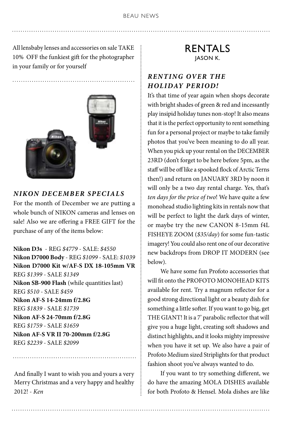All lensbaby lenses and accessories on sale TAKE 10% OFF the funkiest gift for the photographer in your family or for yourself

. . . . . . . . . . . . .



#### *NIKON DECEMBER SPECIALS*

For the month of December we are putting a whole bunch of NIKON cameras and lenses on sale! Also we are offering a FREE GIFT for the purchase of any of the items below:

**Nikon D3s** - REG *\$4779* - SALE: *\$4550* **Nikon D7000 Body** - REG *\$1099* - SALE: *\$1039* **Nikon D7000 Kit w/AF-S DX 18-105mm VR**  REG *\$1399* - SALE *\$1349* **Nikon SB-900 Flash** (while quantities last) REG *\$510* - SALE *\$459* **Nikon AF-S 14-24mm f/2.8G**  REG *\$1839* - SALE *\$1739* **Nikon AF-S 24-70mm f/2.8G** REG *\$1759* - SALE *\$1659* **Nikon AF-S VR II 70-200mm f/2.8G**  REG *\$2239* - SALE *\$2099*

And finally I want to wish you and yours a very Merry Christmas and a very happy and healthy 2012! - *Ken*

#### RENTALS JASON K.

#### *Ren ting Over the Holiday Period!*

It's that time of year again when shops decorate with bright shades of green & red and incessantly play insipid holiday tunes non-stop! It also means that it is the perfect opportunity to rent something fun for a personal project or maybe to take family photos that you've been meaning to do all year. When you pick up your rental on the DECEMBER 23RD (don't forget to be here before 5pm, as the staff will be off like a spooked flock of Arctic Terns then!) and return on JANUARY 3RD by noon it will only be a two day rental charge. Yes, that's *ten days for the price of two*! We have quite a few monohead studio lighting kits in rentals now that will be perfect to light the dark days of winter, or maybe try the new CANON 8-15mm f4L Fisheye Zoom (*\$35/day*) for some fun-tastic imagery! You could also rent one of our decorative new backdrops from DROP IT MODERN (see below).

 We have some fun Profoto accessories that will fit onto the PROFOTO MONOHEAD KITS available for rent. Try a magnum reflector for a good strong directional light or a beauty dish for something a little softer. If you want to go big, get THE GIANT! It is a 7' parabolic reflector that will give you a huge light, creating soft shadows and distinct highlights, and it looks mighty impressive when you have it set up. We also have a pair of Profoto Medium sized Striplights for that product fashion shoot you've always wanted to do.

 If you want to try something different, we do have the amazing MOLA DISHES available for both Profoto & Hensel. Mola dishes are like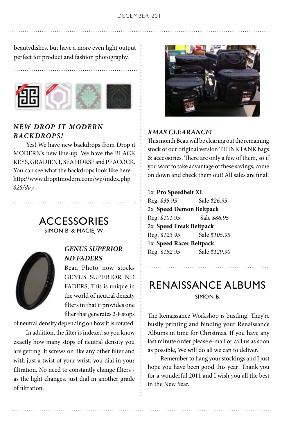beautydishes, but have a more even light output perfect for product and fashion photography.



#### *New Drop it MODERN backdrops!*

 Yes! We have new backdrops from Drop it MODERN's new line-up. We have the BLACK Keys, Gradient, Sea Horse and Peacock. You can see what the backdrops look like here: http://www.dropitmodern.com/wp/index.php *\$25/day*





#### *Genus Superior ND Faders*

Beau Photo now stocks Genus Superior ND FADERS, This is unique in the world of neutral density filters in that it provides one filter that generates 2-8 stops

of neutral density depending on how it is rotated.

 In addition, the filter is indexed so you know exactly how many stops of neutral density you are getting. It screws on like any other filter and with just a twist of your wrist, you dial in your filtration. No need to constantly change filters as the light changes, just dial in another grade of filtration.



#### *Xmas clearance!*

This month Beau will be clearing out the remaining stock of our original version THINKTANK bags & accessories. There are only a few of them, so if you want to take advantage of these savings, come on down and check them out! All sales are final!

#### 1x **Pro Speedbelt XL**

Reg. *\$35.95* Sale *\$26.95* 2x **Speed Demon Beltpack** Reg. *\$101.95* Sale *\$86.95* 2x **Speed Freak Beltpack** Reg. \$*123.95* Sale *\$105.95* 1x **Speed Racer Beltpack** Reg. \$*152.95* Sale *\$129.90*

### RENAISSANCE ALBUMS SIMON B.

The Renaissance Workshop is bustling! They're busily printing and binding your Renaissance Albums in time for Christmas. If you have any last minute order please e-mail or call us as soon as possible, We will do all we can to deliver.

 Remember to hang your stockings and I just hope you have been good this year! Thank you for a wonderful 2011 and I wish you all the best in the New Year.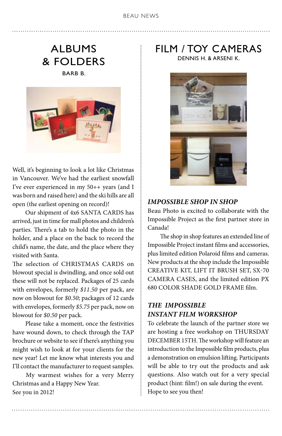## ALBUMS & FOLDERS

BARB B.



Well, it's beginning to look a lot like Christmas in Vancouver. We've had the earliest snowfall I've ever experienced in my 50++ years (and I was born and raised here) and the ski hills are all open (the earliest opening on record)!

Our shipment of 4x6 SANTA CARDS has arrived, just in time for mall photos and children's parties. There's a tab to hold the photo in the holder, and a place on the back to record the child's name, the date, and the place where they visited with Santa.

The selection of CHRISTMAS CARDS on blowout special is dwindling, and once sold out these will not be replaced. Packages of 25 cards with envelopes, formerly *\$11.50* per pack, are now on blowout for *\$0.50*; packages of 12 cards with envelopes, formerly *\$5.75* per pack, now on blowout for *\$0.50* per pack.

 Please take a moment, once the festivities have wound down, to check through the TAP brochure or website to see if there's anything you might wish to look at for your clients for the new year! Let me know what interests you and I'll contact the manufacturer to request samples.

 My warmest wishes for a very Merry Christmas and a Happy New Year. See you in 2012!

## FILM / TOY CAMERAS

DENNIS H. & ARSENI K.



#### *IMPOSSIBLE Shop in shop*

Beau Photo is excited to collaborate with the Impossible Project as the first partner store in Canada!

 The shop in shop features an extended line of Impossible Project instant films and accessories, plus limited edition Polaroid films and cameras. New products at the shop include the Impossible Creative kit, Lift It brush set, SX-70 camera cases, and the limited edition PX 680 Color Shade gold frame film.

#### *The IMPOSSIBLE INSTANT FILM WORKSHOP*

To celebrate the launch of the partner store we are hosting a free workshop on THURSDAY DECEMBER 15TH. The workshop will feature an introduction to the Impossible film products, plus a demonstration on emulsion lifting. Participants will be able to try out the products and ask questions. Also watch out for a very special product (hint: film!) on sale during the event. Hope to see you then!